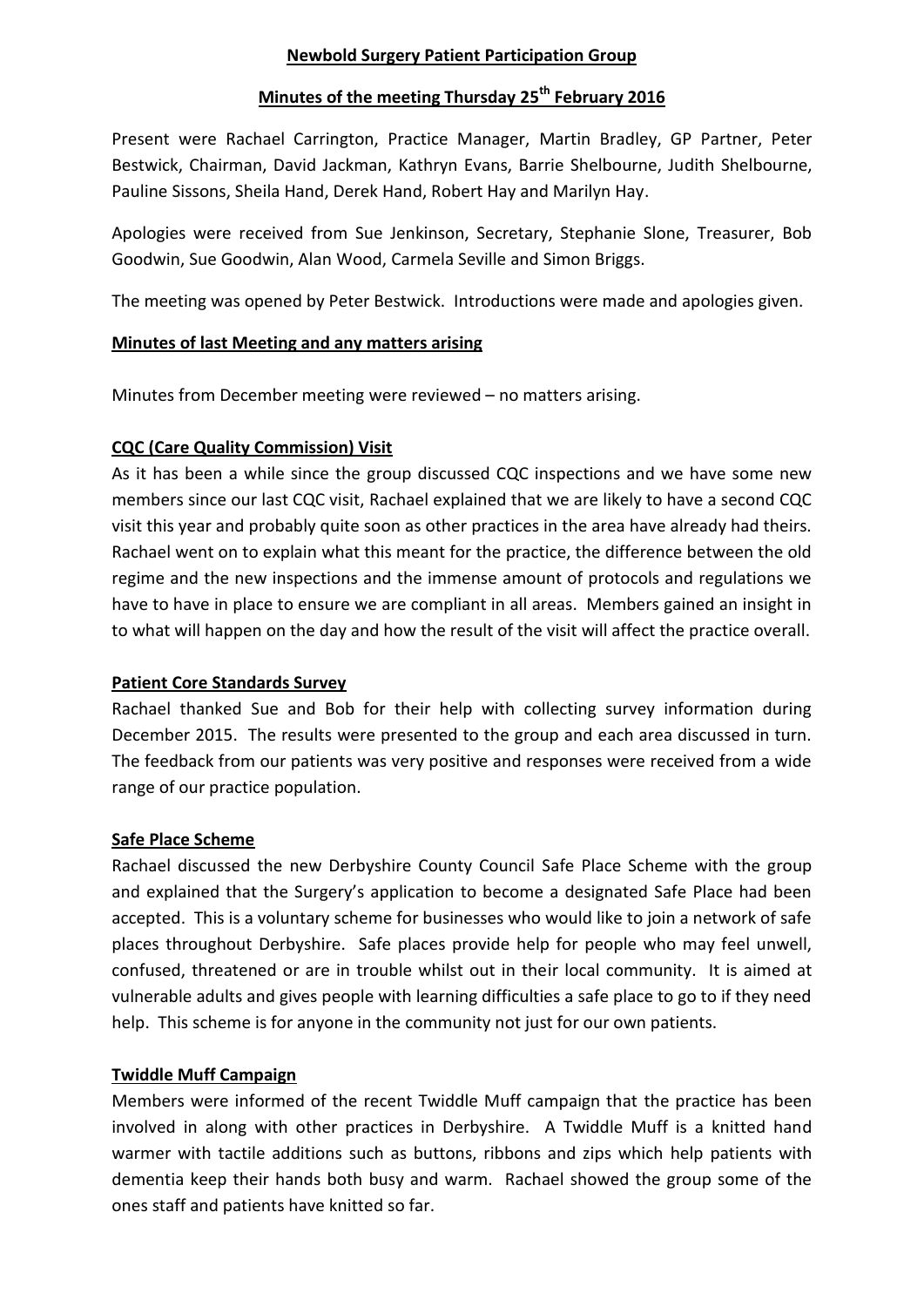#### **Newbold Surgery Patient Participation Group**

## **Minutes of the meeting Thursday 25th February 2016**

Present were Rachael Carrington, Practice Manager, Martin Bradley, GP Partner, Peter Bestwick, Chairman, David Jackman, Kathryn Evans, Barrie Shelbourne, Judith Shelbourne, Pauline Sissons, Sheila Hand, Derek Hand, Robert Hay and Marilyn Hay.

Apologies were received from Sue Jenkinson, Secretary, Stephanie Slone, Treasurer, Bob Goodwin, Sue Goodwin, Alan Wood, Carmela Seville and Simon Briggs.

The meeting was opened by Peter Bestwick. Introductions were made and apologies given.

#### **Minutes of last Meeting and any matters arising**

Minutes from December meeting were reviewed – no matters arising.

## **CQC (Care Quality Commission) Visit**

As it has been a while since the group discussed CQC inspections and we have some new members since our last CQC visit, Rachael explained that we are likely to have a second CQC visit this year and probably quite soon as other practices in the area have already had theirs. Rachael went on to explain what this meant for the practice, the difference between the old regime and the new inspections and the immense amount of protocols and regulations we have to have in place to ensure we are compliant in all areas. Members gained an insight in to what will happen on the day and how the result of the visit will affect the practice overall.

#### **Patient Core Standards Survey**

Rachael thanked Sue and Bob for their help with collecting survey information during December 2015. The results were presented to the group and each area discussed in turn. The feedback from our patients was very positive and responses were received from a wide range of our practice population.

#### **Safe Place Scheme**

Rachael discussed the new Derbyshire County Council Safe Place Scheme with the group and explained that the Surgery's application to become a designated Safe Place had been accepted. This is a voluntary scheme for businesses who would like to join a network of safe places throughout Derbyshire. Safe places provide help for people who may feel unwell, confused, threatened or are in trouble whilst out in their local community. It is aimed at vulnerable adults and gives people with learning difficulties a safe place to go to if they need help. This scheme is for anyone in the community not just for our own patients.

#### **Twiddle Muff Campaign**

Members were informed of the recent Twiddle Muff campaign that the practice has been involved in along with other practices in Derbyshire. A Twiddle Muff is a knitted hand warmer with tactile additions such as buttons, ribbons and zips which help patients with dementia keep their hands both busy and warm. Rachael showed the group some of the ones staff and patients have knitted so far.